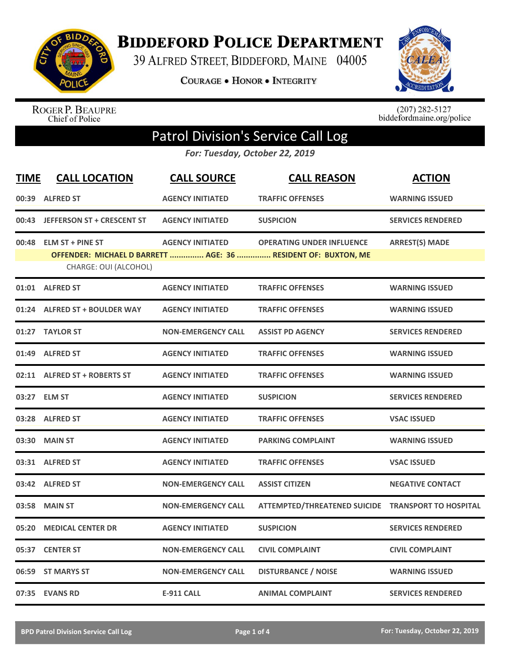

**BIDDEFORD POLICE DEPARTMENT** 

39 ALFRED STREET, BIDDEFORD, MAINE 04005

**COURAGE . HONOR . INTEGRITY** 



ROGER P. BEAUPRE<br>Chief of Police

 $(207)$  282-5127<br>biddefordmaine.org/police

## Patrol Division's Service Call Log

*For: Tuesday, October 22, 2019*

| <b>TIME</b> | <b>CALL LOCATION</b>                            | <b>CALL SOURCE</b>        | <b>CALL REASON</b>                                                                                | <b>ACTION</b>            |
|-------------|-------------------------------------------------|---------------------------|---------------------------------------------------------------------------------------------------|--------------------------|
|             | 00:39 ALFRED ST                                 | <b>AGENCY INITIATED</b>   | <b>TRAFFIC OFFENSES</b>                                                                           | <b>WARNING ISSUED</b>    |
|             | 00:43 JEFFERSON ST + CRESCENT ST                | <b>AGENCY INITIATED</b>   | <b>SUSPICION</b>                                                                                  | <b>SERVICES RENDERED</b> |
|             | 00:48 ELM ST + PINE ST<br>CHARGE: OUI (ALCOHOL) | <b>AGENCY INITIATED</b>   | <b>OPERATING UNDER INFLUENCE</b><br>OFFENDER: MICHAEL D BARRETT  AGE: 36  RESIDENT OF: BUXTON, ME | <b>ARREST(S) MADE</b>    |
|             | 01:01 ALFRED ST                                 | <b>AGENCY INITIATED</b>   | <b>TRAFFIC OFFENSES</b>                                                                           | <b>WARNING ISSUED</b>    |
|             | 01:24 ALFRED ST + BOULDER WAY                   | <b>AGENCY INITIATED</b>   | <b>TRAFFIC OFFENSES</b>                                                                           | <b>WARNING ISSUED</b>    |
|             | 01:27 TAYLOR ST                                 | <b>NON-EMERGENCY CALL</b> | <b>ASSIST PD AGENCY</b>                                                                           | <b>SERVICES RENDERED</b> |
|             | 01:49 ALFRED ST                                 | <b>AGENCY INITIATED</b>   | <b>TRAFFIC OFFENSES</b>                                                                           | <b>WARNING ISSUED</b>    |
|             | 02:11 ALFRED ST + ROBERTS ST                    | <b>AGENCY INITIATED</b>   | <b>TRAFFIC OFFENSES</b>                                                                           | <b>WARNING ISSUED</b>    |
|             | 03:27 ELM ST                                    | <b>AGENCY INITIATED</b>   | <b>SUSPICION</b>                                                                                  | <b>SERVICES RENDERED</b> |
|             | 03:28 ALFRED ST                                 | <b>AGENCY INITIATED</b>   | <b>TRAFFIC OFFENSES</b>                                                                           | <b>VSAC ISSUED</b>       |
|             | 03:30 MAIN ST                                   | <b>AGENCY INITIATED</b>   | <b>PARKING COMPLAINT</b>                                                                          | <b>WARNING ISSUED</b>    |
|             | 03:31 ALFRED ST                                 | <b>AGENCY INITIATED</b>   | <b>TRAFFIC OFFENSES</b>                                                                           | <b>VSAC ISSUED</b>       |
|             | 03:42 ALFRED ST                                 | <b>NON-EMERGENCY CALL</b> | <b>ASSIST CITIZEN</b>                                                                             | <b>NEGATIVE CONTACT</b>  |
| 03:58       | <b>MAIN ST</b>                                  | <b>NON-EMERGENCY CALL</b> | ATTEMPTED/THREATENED SUICIDE TRANSPORT TO HOSPITAL                                                |                          |
| 05:20       | <b>MEDICAL CENTER DR</b>                        | <b>AGENCY INITIATED</b>   | <b>SUSPICION</b>                                                                                  | <b>SERVICES RENDERED</b> |
|             | 05:37 CENTER ST                                 | <b>NON-EMERGENCY CALL</b> | <b>CIVIL COMPLAINT</b>                                                                            | <b>CIVIL COMPLAINT</b>   |
|             | 06:59 ST MARYS ST                               | <b>NON-EMERGENCY CALL</b> | <b>DISTURBANCE / NOISE</b>                                                                        | <b>WARNING ISSUED</b>    |
|             | 07:35 EVANS RD                                  | <b>E-911 CALL</b>         | <b>ANIMAL COMPLAINT</b>                                                                           | <b>SERVICES RENDERED</b> |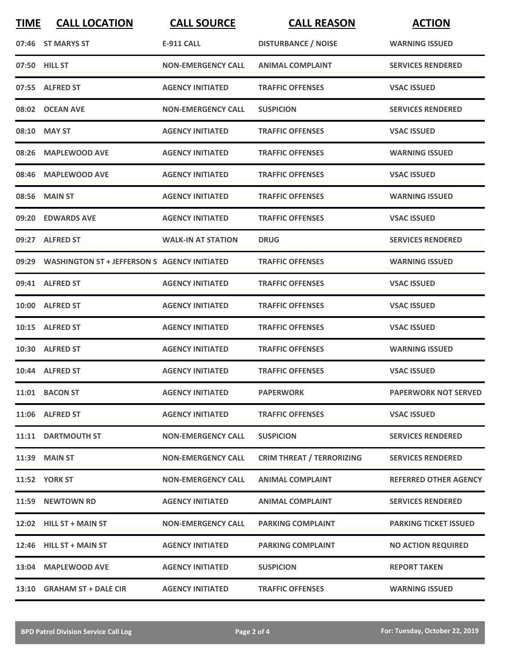| <b>TIME</b> | <b>CALL LOCATION</b>                               | <b>CALL SOURCE</b>        | <b>CALL REASON</b>               | <b>ACTION</b>                |
|-------------|----------------------------------------------------|---------------------------|----------------------------------|------------------------------|
|             | 07:46 ST MARYS ST                                  | <b>E-911 CALL</b>         | <b>DISTURBANCE / NOISE</b>       | <b>WARNING ISSUED</b>        |
|             | 07:50 HILL ST                                      | <b>NON-EMERGENCY CALL</b> | <b>ANIMAL COMPLAINT</b>          | <b>SERVICES RENDERED</b>     |
|             | 07:55 ALFRED ST                                    | <b>AGENCY INITIATED</b>   | <b>TRAFFIC OFFENSES</b>          | <b>VSAC ISSUED</b>           |
|             | 08:02 OCEAN AVE                                    | <b>NON-EMERGENCY CALL</b> | <b>SUSPICION</b>                 | <b>SERVICES RENDERED</b>     |
|             | 08:10 MAY ST                                       | <b>AGENCY INITIATED</b>   | <b>TRAFFIC OFFENSES</b>          | <b>VSAC ISSUED</b>           |
| 08:26       | <b>MAPLEWOOD AVE</b>                               | <b>AGENCY INITIATED</b>   | <b>TRAFFIC OFFENSES</b>          | <b>WARNING ISSUED</b>        |
| 08:46       | <b>MAPLEWOOD AVE</b>                               | <b>AGENCY INITIATED</b>   | <b>TRAFFIC OFFENSES</b>          | <b>VSAC ISSUED</b>           |
|             | 08:56 MAIN ST                                      | <b>AGENCY INITIATED</b>   | <b>TRAFFIC OFFENSES</b>          | <b>WARNING ISSUED</b>        |
|             | 09:20 EDWARDS AVE                                  | <b>AGENCY INITIATED</b>   | <b>TRAFFIC OFFENSES</b>          | <b>VSAC ISSUED</b>           |
|             | 09:27 ALFRED ST                                    | <b>WALK-IN AT STATION</b> | <b>DRUG</b>                      | <b>SERVICES RENDERED</b>     |
|             | 09:29 WASHINGTON ST + JEFFERSON S AGENCY INITIATED |                           | <b>TRAFFIC OFFENSES</b>          | <b>WARNING ISSUED</b>        |
|             | 09:41 ALFRED ST                                    | <b>AGENCY INITIATED</b>   | <b>TRAFFIC OFFENSES</b>          | <b>VSAC ISSUED</b>           |
| 10:00       | <b>ALFRED ST</b>                                   | <b>AGENCY INITIATED</b>   | <b>TRAFFIC OFFENSES</b>          | <b>VSAC ISSUED</b>           |
|             | 10:15 ALFRED ST                                    | <b>AGENCY INITIATED</b>   | <b>TRAFFIC OFFENSES</b>          | <b>VSAC ISSUED</b>           |
|             | 10:30 ALFRED ST                                    | <b>AGENCY INITIATED</b>   | <b>TRAFFIC OFFENSES</b>          | <b>WARNING ISSUED</b>        |
|             | 10:44 ALFRED ST                                    | <b>AGENCY INITIATED</b>   | <b>TRAFFIC OFFENSES</b>          | <b>VSAC ISSUED</b>           |
|             | 11:01 BACON ST                                     | <b>AGENCY INITIATED</b>   | <b>PAPERWORK</b>                 | <b>PAPERWORK NOT SERVED</b>  |
|             | 11:06 ALFRED ST                                    | <b>AGENCY INITIATED</b>   | <b>TRAFFIC OFFENSES</b>          | <b>VSAC ISSUED</b>           |
|             | 11:11 DARTMOUTH ST                                 | <b>NON-EMERGENCY CALL</b> | <b>SUSPICION</b>                 | <b>SERVICES RENDERED</b>     |
|             | 11:39 MAIN ST                                      | <b>NON-EMERGENCY CALL</b> | <b>CRIM THREAT / TERRORIZING</b> | <b>SERVICES RENDERED</b>     |
|             | <b>11:52 YORK ST</b>                               | <b>NON-EMERGENCY CALL</b> | <b>ANIMAL COMPLAINT</b>          | <b>REFERRED OTHER AGENCY</b> |
|             | 11:59 NEWTOWN RD                                   | <b>AGENCY INITIATED</b>   | <b>ANIMAL COMPLAINT</b>          | <b>SERVICES RENDERED</b>     |
|             | 12:02 HILL ST + MAIN ST                            | <b>NON-EMERGENCY CALL</b> | <b>PARKING COMPLAINT</b>         | <b>PARKING TICKET ISSUED</b> |
|             | 12:46 HILL ST + MAIN ST                            | <b>AGENCY INITIATED</b>   | <b>PARKING COMPLAINT</b>         | <b>NO ACTION REQUIRED</b>    |
|             | 13:04 MAPLEWOOD AVE                                | <b>AGENCY INITIATED</b>   | <b>SUSPICION</b>                 | <b>REPORT TAKEN</b>          |
|             | 13:10 GRAHAM ST + DALE CIR                         | <b>AGENCY INITIATED</b>   | <b>TRAFFIC OFFENSES</b>          | <b>WARNING ISSUED</b>        |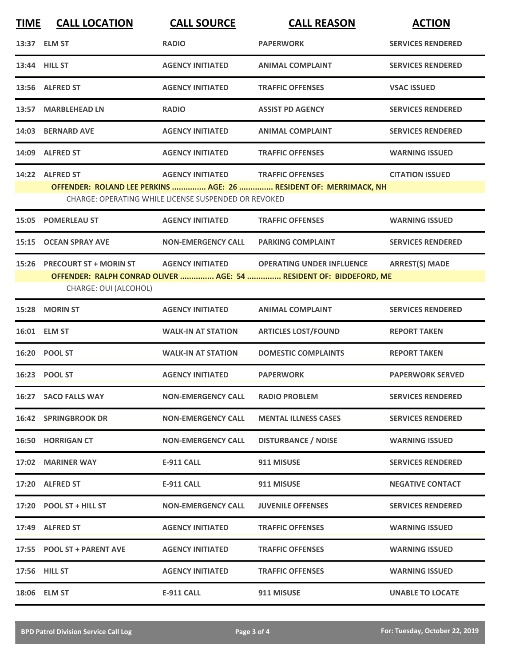| <b>TIME</b> | <b>CALL LOCATION</b>         | <b>CALL SOURCE</b>                                   | <b>CALL REASON</b>                                                 | <b>ACTION</b>            |
|-------------|------------------------------|------------------------------------------------------|--------------------------------------------------------------------|--------------------------|
|             | 13:37 ELM ST                 | <b>RADIO</b>                                         | <b>PAPERWORK</b>                                                   | <b>SERVICES RENDERED</b> |
|             | 13:44 HILL ST                | <b>AGENCY INITIATED</b>                              | <b>ANIMAL COMPLAINT</b>                                            | <b>SERVICES RENDERED</b> |
|             | 13:56 ALFRED ST              | <b>AGENCY INITIATED</b>                              | <b>TRAFFIC OFFENSES</b>                                            | <b>VSAC ISSUED</b>       |
|             | 13:57 MARBLEHEAD LN          | <b>RADIO</b>                                         | <b>ASSIST PD AGENCY</b>                                            | <b>SERVICES RENDERED</b> |
|             | 14:03 BERNARD AVE            | <b>AGENCY INITIATED</b>                              | <b>ANIMAL COMPLAINT</b>                                            | <b>SERVICES RENDERED</b> |
|             | 14:09 ALFRED ST              | <b>AGENCY INITIATED</b>                              | <b>TRAFFIC OFFENSES</b>                                            | <b>WARNING ISSUED</b>    |
|             | 14:22 ALFRED ST              | <b>AGENCY INITIATED</b>                              | <b>TRAFFIC OFFENSES</b>                                            | <b>CITATION ISSUED</b>   |
|             |                              |                                                      | OFFENDER: ROLAND LEE PERKINS  AGE: 26  RESIDENT OF: MERRIMACK, NH  |                          |
|             |                              | CHARGE: OPERATING WHILE LICENSE SUSPENDED OR REVOKED |                                                                    |                          |
| 15:05       | <b>POMERLEAU ST</b>          | <b>AGENCY INITIATED</b>                              | <b>TRAFFIC OFFENSES</b>                                            | <b>WARNING ISSUED</b>    |
| 15:15       | <b>OCEAN SPRAY AVE</b>       | <b>NON-EMERGENCY CALL</b>                            | <b>PARKING COMPLAINT</b>                                           | <b>SERVICES RENDERED</b> |
|             | 15:26 PRECOURT ST + MORIN ST | <b>AGENCY INITIATED</b>                              | <b>OPERATING UNDER INFLUENCE</b>                                   | <b>ARREST(S) MADE</b>    |
|             | CHARGE: OUI (ALCOHOL)        |                                                      | OFFENDER: RALPH CONRAD OLIVER  AGE: 54  RESIDENT OF: BIDDEFORD, ME |                          |
|             | 15:28 MORIN ST               | <b>AGENCY INITIATED</b>                              | <b>ANIMAL COMPLAINT</b>                                            | <b>SERVICES RENDERED</b> |
|             | 16:01 ELM ST                 | <b>WALK-IN AT STATION</b>                            | <b>ARTICLES LOST/FOUND</b>                                         | <b>REPORT TAKEN</b>      |
|             | 16:20 POOL ST                | <b>WALK-IN AT STATION</b>                            | <b>DOMESTIC COMPLAINTS</b>                                         | <b>REPORT TAKEN</b>      |
|             | 16:23 POOL ST                | <b>AGENCY INITIATED</b>                              | <b>PAPERWORK</b>                                                   | <b>PAPERWORK SERVED</b>  |
|             | 16:27 SACO FALLS WAY         | <b>NON-EMERGENCY CALL</b>                            | <b>RADIO PROBLEM</b>                                               | <b>SERVICES RENDERED</b> |
|             | <b>16:42 SPRINGBROOK DR</b>  | <b>NON-EMERGENCY CALL</b>                            | <b>MENTAL ILLNESS CASES</b>                                        | <b>SERVICES RENDERED</b> |
|             | <b>16:50 HORRIGAN CT</b>     | <b>NON-EMERGENCY CALL</b>                            | <b>DISTURBANCE / NOISE</b>                                         | <b>WARNING ISSUED</b>    |
|             | 17:02 MARINER WAY            | <b>E-911 CALL</b>                                    | 911 MISUSE                                                         | <b>SERVICES RENDERED</b> |
|             | 17:20 ALFRED ST              | E-911 CALL                                           | 911 MISUSE                                                         | <b>NEGATIVE CONTACT</b>  |
|             | 17:20 POOL ST + HILL ST      | <b>NON-EMERGENCY CALL</b>                            | <b>JUVENILE OFFENSES</b>                                           | <b>SERVICES RENDERED</b> |
|             | 17:49 ALFRED ST              | <b>AGENCY INITIATED</b>                              | <b>TRAFFIC OFFENSES</b>                                            | <b>WARNING ISSUED</b>    |
|             | 17:55 POOL ST + PARENT AVE   | <b>AGENCY INITIATED</b>                              | <b>TRAFFIC OFFENSES</b>                                            | <b>WARNING ISSUED</b>    |
|             | 17:56 HILL ST                | <b>AGENCY INITIATED</b>                              | <b>TRAFFIC OFFENSES</b>                                            | <b>WARNING ISSUED</b>    |
|             | 18:06 ELM ST                 | <b>E-911 CALL</b>                                    | 911 MISUSE                                                         | <b>UNABLE TO LOCATE</b>  |